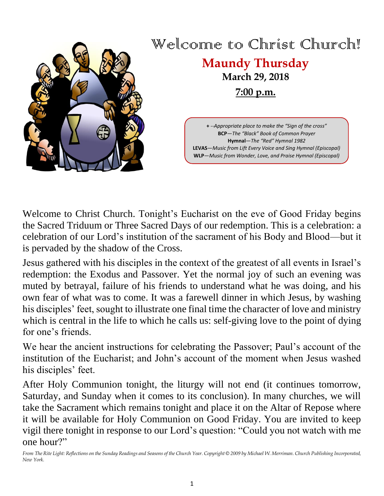

# Welcome to Christ Church! **Maundy Thursday**

# **March 29, 2018 7:00 p.m.**

**+** --*Appropriate place to make the "Sign of the cross"* **BCP**—*The "Black" Book of Common Prayer* **Hymnal**—*The "Red" Hymnal 1982* **LEVAS**—*Music from Lift Every Voice and Sing Hymnal (Episcopal)* **WLP**—*Music from Wonder, Love, and Praise Hymnal (Episcopal)*

Welcome to Christ Church. Tonight's Eucharist on the eve of Good Friday begins the Sacred Triduum or Three Sacred Days of our redemption. This is a celebration: a celebration of our Lord's institution of the sacrament of his Body and Blood—but it is pervaded by the shadow of the Cross.

Jesus gathered with his disciples in the context of the greatest of all events in Israel's redemption: the Exodus and Passover. Yet the normal joy of such an evening was muted by betrayal, failure of his friends to understand what he was doing, and his own fear of what was to come. It was a farewell dinner in which Jesus, by washing his disciples' feet, sought to illustrate one final time the character of love and ministry which is central in the life to which he calls us: self-giving love to the point of dying for one's friends.

We hear the ancient instructions for celebrating the Passover; Paul's account of the institution of the Eucharist; and John's account of the moment when Jesus washed his disciples' feet.

After Holy Communion tonight, the liturgy will not end (it continues tomorrow, Saturday, and Sunday when it comes to its conclusion). In many churches, we will take the Sacrament which remains tonight and place it on the Altar of Repose where it will be available for Holy Communion on Good Friday. You are invited to keep vigil there tonight in response to our Lord's question: "Could you not watch with me one hour?"

*From The Rite Light: Reflections on the Sunday Readings and Seasons of the Church Year. Copyright © 2009 by Michael W. Merriman. Church Publishing Incorporated, New York.*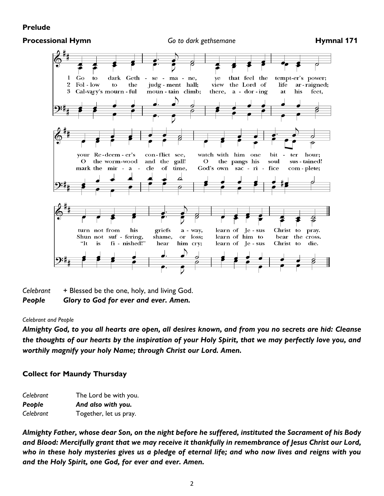#### **Prelude**

#### **Processional Hymn** *Go to dark gethsemane* **<b>Hymnal 171**



*Celebrant* + Blessed be the one, holy, and living God. *People Glory to God for ever and ever. Amen.*

#### *Celebrant and People*

*Almighty God, to you all hearts are open, all desires known, and from you no secrets are hid: Cleanse the thoughts of our hearts by the inspiration of your Holy Spirit, that we may perfectly love you, and worthily magnify your holy Name; through Christ our Lord. Amen.*

#### **Collect for Maundy Thursday**

| Celebrant | The Lord be with you.  |
|-----------|------------------------|
| People    | And also with you.     |
| Celebrant | Together, let us pray. |

*Almighty Father, whose dear Son, on the night before he suffered, instituted the Sacrament of his Body and Blood: Mercifully grant that we may receive it thankfully in remembrance of Jesus Christ our Lord, who in these holy mysteries gives us a pledge of eternal life; and who now lives and reigns with you and the Holy Spirit, one God, for ever and ever. Amen.*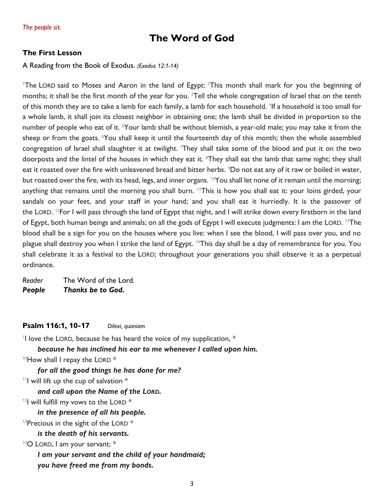## **The Word of God**

#### **The First Lesson**

#### A Reading from the Book of Exodus. *(Exodus 12:1-14)*

<sup>1</sup>The LORD said to Moses and Aaron in the land of Egypt:  $2$ This month shall mark for you the beginning of months; it shall be the first month of the year for you. <sup>3</sup>Tell the whole congregation of Israel that on the tenth of this month they are to take a lamb for each family, a lamb for each household. <sup>4</sup>If a household is too small for a whole lamb, it shall join its closest neighbor in obtaining one; the lamb shall be divided in proportion to the number of people who eat of it. <sup>5</sup>Your lamb shall be without blemish, a year-old male; you may take it from the sheep or from the goats. <sup>6</sup>You shall keep it until the fourteenth day of this month; then the whole assembled congregation of Israel shall slaughter it at twilight. They shall take some of the blood and put it on the two doorposts and the lintel of the houses in which they eat it. <sup>8</sup>They shall eat the lamb that same night; they shall eat it roasted over the fire with unleavened bread and bitter herbs. <sup>9</sup>Do not eat any of it raw or boiled in water, but roasted over the fire, with its head, legs, and inner organs. <sup>10</sup>You shall let none of it remain until the morning; anything that remains until the morning you shall burn. <sup>11</sup>This is how you shall eat it: your loins girded, your sandals on your feet, and your staff in your hand; and you shall eat it hurriedly. It is the passover of the LORD. <sup>12</sup>For I will pass through the land of Egypt that night, and I will strike down every firstborn in the land of Egypt, both human beings and animals; on all the gods of Egypt I will execute judgments: I am the LORD. <sup>13</sup>The blood shall be a sign for you on the houses where you live: when I see the blood, I will pass over you, and no plague shall destroy you when I strike the land of Egypt. <sup>14</sup>This day shall be a day of remembrance for you. You shall celebrate it as a festival to the LORD; throughout your generations you shall observe it as a perpetual ordinance.

*Reader* The Word of the Lord. *People Thanks be to God.*

#### **Psalm 116:1, 10-17** *Dilexi, quoniam*

<sup>1</sup>I love the LORD, because he has heard the voice of my supplication,  $*$ 

*because he has inclined his ear to me whenever I called upon him.*

 $10$ How shall I repay the LORD  $*$ 

*for all the good things he has done for me?*

 $11$  will lift up the cup of salvation  $*$ 

*and call upon the Name of the LORD.*

 $12$ I will fulfill my vows to the LORD  $*$ 

*in the presence of all his people.*

 $13$ Precious in the sight of the LORD  $*$ 

*is the death of his servants.*

 $14$ O LORD, I am your servant;  $*$ 

*I am your servant and the child of your handmaid;*

*you have freed me from my bonds.*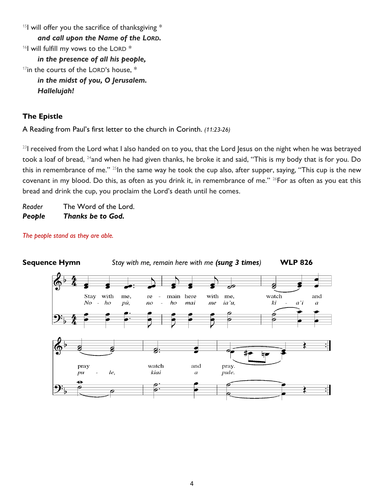$15$ I will offer you the sacrifice of thanksgiving  $*$ *and call upon the Name of the LORD.*  $16$ I will fulfill my vows to the LORD  $*$ *in the presence of all his people,*  $17$ in the courts of the LORD's house,  $*$ *in the midst of you, O Jerusalem. Hallelujah!*

#### **The Epistle**

A Reading from Paul's first letter to the church in Corinth. *(11:23-26)*

<sup>23</sup>I received from the Lord what I also handed on to you, that the Lord Jesus on the night when he was betrayed took a loaf of bread, <sup>24</sup>and when he had given thanks, he broke it and said, "This is my body that is for you. Do this in remembrance of me." <sup>25</sup>In the same way he took the cup also, after supper, saying, "This cup is the new covenant in my blood. Do this, as often as you drink it, in remembrance of me." <sup>26</sup>For as often as you eat this bread and drink the cup, you proclaim the Lord's death until he comes.

*Reader* The Word of the Lord. *People Thanks be to God.*

*The people stand as they are able.*

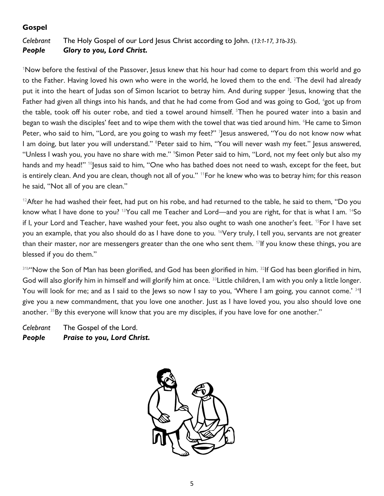### **Gospel**

#### *Celebrant* The Holy Gospel of our Lord Jesus Christ according to John. (*13:1-17, 31b-35*). *People Glory to you, Lord Christ.*

<sup>1</sup>Now before the festival of the Passover, Jesus knew that his hour had come to depart from this world and go to the Father. Having loved his own who were in the world, he loved them to the end.  $2$ The devil had already put it into the heart of Judas son of Simon Iscariot to betray him. And during supper <sup>3</sup>Jesus, knowing that the Father had given all things into his hands, and that he had come from God and was going to God, <sup>4</sup>got up from the table, took off his outer robe, and tied a towel around himself. <sup>5</sup>Then he poured water into a basin and began to wash the disciples' feet and to wipe them with the towel that was tied around him. <sup>6</sup>He came to Simon Peter, who said to him, "Lord, are you going to wash my feet?" <sup>7</sup> Jesus answered, "You do not know now what I am doing, but later you will understand." <sup>8</sup>Peter said to him, "You will never wash my feet." Jesus answered, "Unless I wash you, you have no share with me." <sup>9</sup>Simon Peter said to him, "Lord, not my feet only but also my hands and my head!" <sup>10</sup> Jesus said to him, "One who has bathed does not need to wash, except for the feet, but is entirely clean. And you are clean, though not all of you." <sup>11</sup>For he knew who was to betray him; for this reason he said, "Not all of you are clean."

<sup>12</sup>After he had washed their feet, had put on his robe, and had returned to the table, he said to them, "Do you know what I have done to you? <sup>13</sup> You call me Teacher and Lord—and you are right, for that is what I am. <sup>14</sup> So if I, your Lord and Teacher, have washed your feet, you also ought to wash one another's feet. <sup>15</sup>For I have set you an example, that you also should do as I have done to you. <sup>16</sup>Very truly, I tell you, servants are not greater than their master, nor are messengers greater than the one who sent them.  $^{17}$ If you know these things, you are blessed if you do them."

31b"Now the Son of Man has been glorified, and God has been glorified in him. <sup>32</sup>If God has been glorified in him, God will also glorify him in himself and will glorify him at once. <sup>33</sup> Little children, I am with you only a little longer. You will look for me; and as I said to the Jews so now I say to you, 'Where I am going, you cannot come.' <sup>34</sup>I give you a new commandment, that you love one another. Just as I have loved you, you also should love one another. <sup>35</sup>By this everyone will know that you are my disciples, if you have love for one another."

*Celebrant* The Gospel of the Lord. *People Praise to you, Lord Christ.*

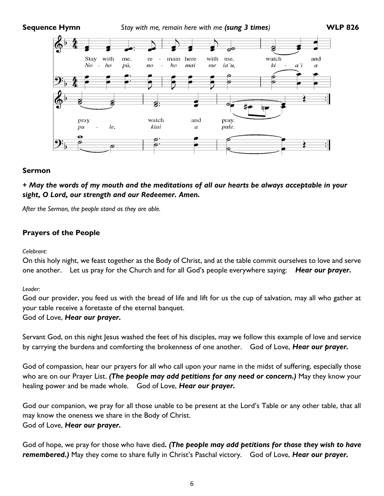#### **Sequence Hymn** *Stay with me, remain here with me (sung 3 times)* **WLP 826**



#### **Sermon**

*+ May the words of my mouth and the meditations of all our hearts be always acceptable in your sight, O Lord, our strength and our Redeemer. Amen.*

*After the Sermon, the people stand as they are able.*

#### **Prayers of the People**

#### *Celebrant:*

On this holy night, we feast together as the Body of Christ, and at the table commit ourselves to love and serve one another. Let us pray for the Church and for all God's people everywhere saying: *Hear our prayer.*

*Leader:*

God our provider, you feed us with the bread of life and lift for us the cup of salvation, may all who gather at your table receive a foretaste of the eternal banquet.

#### God of Love, *Hear our prayer.*

Servant God, on this night Jesus washed the feet of his disciples, may we follow this example of love and service by carrying the burdens and comforting the brokenness of one another. God of Love, *Hear our prayer.*

God of compassion, hear our prayers for all who call upon your name in the midst of suffering, especially those who are on our Prayer List. *(The people may add petitions for any need or concern.)* May they know your healing power and be made whole. God of Love, *Hear our prayer.*

God our companion, we pray for all those unable to be present at the Lord's Table or any other table, that all may know the oneness we share in the Body of Christ. God of Love, *Hear our prayer.*

God of hope, we pray for those who have died*. (The people may add petitions for those they wish to have remembered.)* May they come to share fully in Christ's Paschal victory. God of Love, *Hear our prayer.*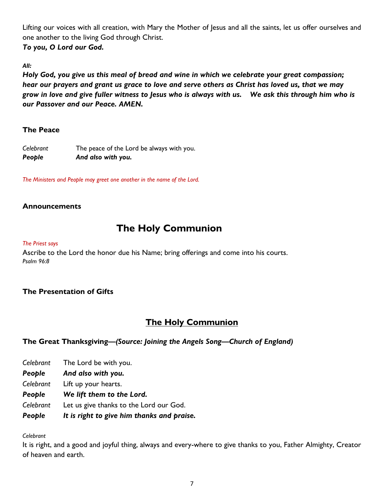Lifting our voices with all creation, with Mary the Mother of Jesus and all the saints, let us offer ourselves and one another to the living God through Christ.

*To you, O Lord our God.*

*All:*

*Holy God, you give us this meal of bread and wine in which we celebrate your great compassion; hear our prayers and grant us grace to love and serve others as Christ has loved us, that we may grow in love and give fuller witness to Jesus who is always with us. We ask this through him who is our Passover and our Peace. AMEN.*

#### **The Peace**

| Celebrant | The peace of the Lord be always with you. |
|-----------|-------------------------------------------|
| People    | And also with you.                        |

*The Ministers and People may greet one another in the name of the Lord.*

#### **Announcements**

## **The Holy Communion**

#### *The Priest says*

Ascribe to the Lord the honor due his Name; bring offerings and come into his courts. *Psalm 96:8*

#### **The Presentation of Gifts**

### **The Holy Communion**

#### **The Great Thanksgiving***—(Source: Joining the Angels Song—Church of England)*

- *Celebrant* The Lord be with you.
- *People And also with you.*
- *Celebrant* Lift up your hearts.
- *People We lift them to the Lord.*
- *Celebrant* Let us give thanks to the Lord our God.
- *People It is right to give him thanks and praise.*

*Celebrant*

It is right, and a good and joyful thing, always and every-where to give thanks to you, Father Almighty, Creator of heaven and earth.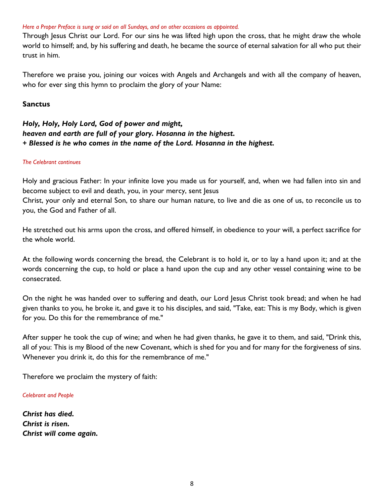#### *Here a Proper Preface is sung or said on all Sundays, and on other occasions as appointed.*

Through Jesus Christ our Lord. For our sins he was lifted high upon the cross, that he might draw the whole world to himself; and, by his suffering and death, he became the source of eternal salvation for all who put their trust in him.

Therefore we praise you, joining our voices with Angels and Archangels and with all the company of heaven, who for ever sing this hymn to proclaim the glory of your Name:

#### **Sanctus**

#### *Holy, Holy, Holy Lord, God of power and might, heaven and earth are full of your glory. Hosanna in the highest. + Blessed is he who comes in the name of the Lord. Hosanna in the highest.*

#### *The Celebrant continues*

Holy and gracious Father: In your infinite love you made us for yourself, and, when we had fallen into sin and become subject to evil and death, you, in your mercy, sent Jesus Christ, your only and eternal Son, to share our human nature, to live and die as one of us, to reconcile us to

you, the God and Father of all.

He stretched out his arms upon the cross, and offered himself, in obedience to your will, a perfect sacrifice for the whole world.

At the following words concerning the bread, the Celebrant is to hold it, or to lay a hand upon it; and at the words concerning the cup, to hold or place a hand upon the cup and any other vessel containing wine to be consecrated.

On the night he was handed over to suffering and death, our Lord Jesus Christ took bread; and when he had given thanks to you, he broke it, and gave it to his disciples, and said, "Take, eat: This is my Body, which is given for you. Do this for the remembrance of me."

After supper he took the cup of wine; and when he had given thanks, he gave it to them, and said, "Drink this, all of you: This is my Blood of the new Covenant, which is shed for you and for many for the forgiveness of sins. Whenever you drink it, do this for the remembrance of me."

Therefore we proclaim the mystery of faith:

*Celebrant and People*

*Christ has died. Christ is risen. Christ will come again.*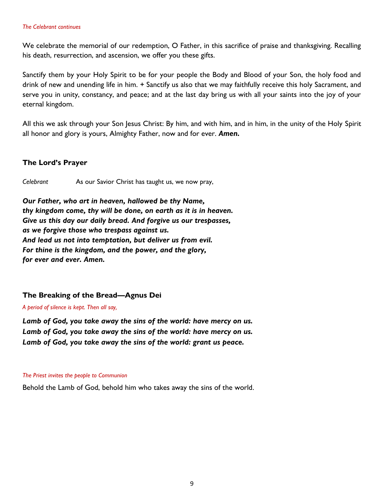#### *The Celebrant continues*

We celebrate the memorial of our redemption, O Father, in this sacrifice of praise and thanksgiving. Recalling his death, resurrection, and ascension, we offer you these gifts.

Sanctify them by your Holy Spirit to be for your people the Body and Blood of your Son, the holy food and drink of new and unending life in him. + Sanctify us also that we may faithfully receive this holy Sacrament, and serve you in unity, constancy, and peace; and at the last day bring us with all your saints into the joy of your eternal kingdom.

All this we ask through your Son Jesus Christ: By him, and with him, and in him, in the unity of the Holy Spirit all honor and glory is yours, Almighty Father, now and for ever. *Amen.*

#### **The Lord's Prayer**

*Celebrant* As our Savior Christ has taught us, we now pray,

*Our Father, who art in heaven, hallowed be thy Name, thy kingdom come, thy will be done, on earth as it is in heaven. Give us this day our daily bread. And forgive us our trespasses, as we forgive those who trespass against us. And lead us not into temptation, but deliver us from evil. For thine is the kingdom, and the power, and the glory, for ever and ever. Amen.*

#### **The Breaking of the Bread—Agnus Dei**

*A period of silence is kept. Then all say,*

*Lamb of God, you take away the sins of the world: have mercy on us. Lamb of God, you take away the sins of the world: have mercy on us. Lamb of God, you take away the sins of the world: grant us peace.*

#### *The Priest invites the people to Communion*

Behold the Lamb of God, behold him who takes away the sins of the world.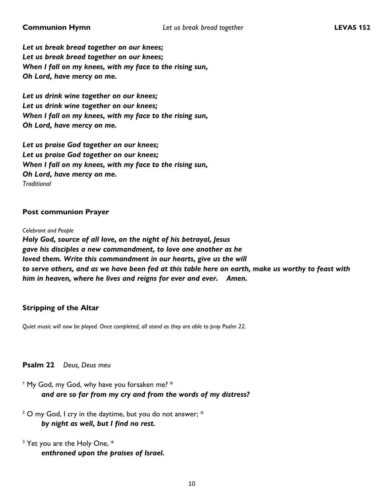*Let us break bread together on our knees; Let us break bread together on our knees; When I fall on my knees, with my face to the rising sun, Oh Lord, have mercy on me.*

*Let us drink wine together on our knees; Let us drink wine together on our knees; When I fall on my knees, with my face to the rising sun, Oh Lord, have mercy on me.*

*Let us praise God together on our knees; Let us praise God together on our knees; When I fall on my knees, with my face to the rising sun, Oh Lord, have mercy on me. Traditional*

#### **Post communion Prayer**

*Celebrant and People*

*Holy God, source of all love, on the night of his betrayal, Jesus gave his disciples a new commandment, to love one another as he loved them. Write this commandment in our hearts, give us the will to serve others, and as we have been fed at this table here on earth, make us worthy to feast with him in heaven, where he lives and reigns for ever and ever. Amen.*

#### **Stripping of the Altar**

*Quiet music will now be played. Once completed, all stand as they are able to pray Psalm 22.*

**Psalm 22** *Deus, Deus meu*

<sup>1</sup> My God, my God, why have you forsaken me? \* *and are so far from my cry and from the words of my distress?*

 $2$  O my God, I cry in the daytime, but you do not answer;  $*$ *by night as well, but I find no rest.*

 $3$  Yet you are the Holy One,  $*$ *enthroned upon the praises of Israel.*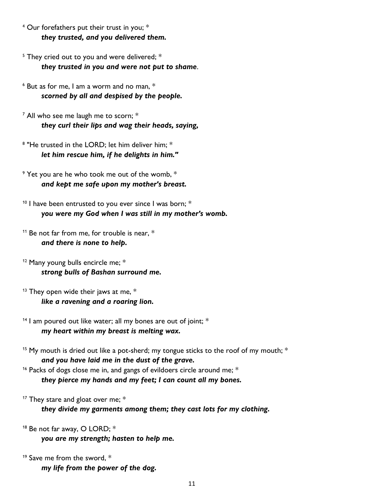<sup>4</sup> Our forefathers put their trust in you; \* *they trusted, and you delivered them.*

 $5$  They cried out to you and were delivered;  $*$ *they trusted in you and were not put to shame*.

 $6$  But as for me, I am a worm and no man,  $*$ *scorned by all and despised by the people.*

<sup>7</sup> All who see me laugh me to scorn; \* *they curl their lips and wag their heads, saying,*

 $8$  "He trusted in the LORD; let him deliver him;  $*$ *let him rescue him, if he delights in him."*

 $9$  Yet you are he who took me out of the womb,  $*$ *and kept me safe upon my mother's breast.*

 $10$  I have been entrusted to you ever since I was born;  $*$ *you were my God when I was still in my mother's womb.*

<sup>11</sup> Be not far from me, for trouble is near,  $*$ *and there is none to help.*

<sup>12</sup> Many young bulls encircle me; \* *strong bulls of Bashan surround me.*

 $13$  They open wide their jaws at me,  $*$ *like a ravening and a roaring lion.*

 $14$  I am poured out like water; all my bones are out of joint;  $*$ *my heart within my breast is melting wax.*

<sup>15</sup> My mouth is dried out like a pot-sherd; my tongue sticks to the roof of my mouth;  $*$ *and you have laid me in the dust of the grave.*

<sup>16</sup> Packs of dogs close me in, and gangs of evildoers circle around me;  $*$ *they pierce my hands and my feet; I can count all my bones.*

<sup>17</sup> They stare and gloat over me;  $*$ *they divide my garments among them; they cast lots for my clothing.*

<sup>18</sup> Be not far away, O LORD; \* *you are my strength; hasten to help me.*

<sup>19</sup> Save me from the sword,  $*$ *my life from the power of the dog.*